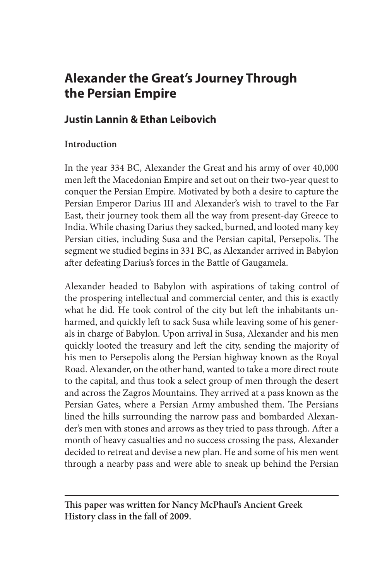# **Alexander the Great's Journey Through the Persian Empire**

## **Justin Lannin & Ethan Leibovich**

### **Introduction**

In the year 334 BC, Alexander the Great and his army of over 40,000 men left the Macedonian Empire and set out on their two-year quest to conquer the Persian Empire. Motivated by both a desire to capture the Persian Emperor Darius III and Alexander's wish to travel to the Far East, their journey took them all the way from present-day Greece to India. While chasing Darius they sacked, burned, and looted many key Persian cities, including Susa and the Persian capital, Persepolis. The segment we studied begins in 331 BC, as Alexander arrived in Babylon after defeating Darius's forces in the Battle of Gaugamela.

Alexander headed to Babylon with aspirations of taking control of the prospering intellectual and commercial center, and this is exactly what he did. He took control of the city but left the inhabitants unharmed, and quickly left to sack Susa while leaving some of his generals in charge of Babylon. Upon arrival in Susa, Alexander and his men quickly looted the treasury and left the city, sending the majority of his men to Persepolis along the Persian highway known as the Royal Road. Alexander, on the other hand, wanted to take a more direct route to the capital, and thus took a select group of men through the desert and across the Zagros Mountains. They arrived at a pass known as the Persian Gates, where a Persian Army ambushed them. The Persians lined the hills surrounding the narrow pass and bombarded Alexander's men with stones and arrows as they tried to pass through. After a month of heavy casualties and no success crossing the pass, Alexander decided to retreat and devise a new plan. He and some of his men went through a nearby pass and were able to sneak up behind the Persian

**This paper was written for Nancy McPhaul's Ancient Greek History class in the fall of 2009.**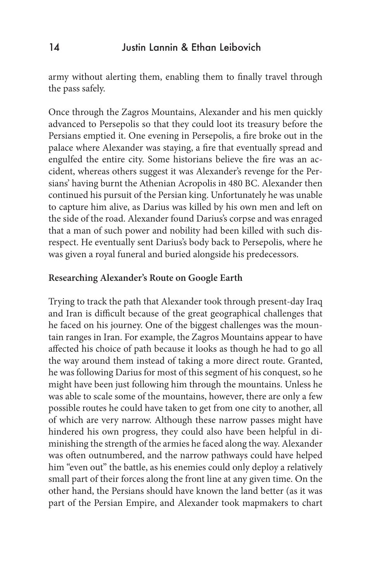army without alerting them, enabling them to finally travel through the pass safely.

Once through the Zagros Mountains, Alexander and his men quickly advanced to Persepolis so that they could loot its treasury before the Persians emptied it. One evening in Persepolis, a fire broke out in the palace where Alexander was staying, a fire that eventually spread and engulfed the entire city. Some historians believe the fire was an accident, whereas others suggest it was Alexander's revenge for the Persians' having burnt the Athenian Acropolis in 480 BC. Alexander then continued his pursuit of the Persian king. Unfortunately he was unable to capture him alive, as Darius was killed by his own men and left on the side of the road. Alexander found Darius's corpse and was enraged that a man of such power and nobility had been killed with such disrespect. He eventually sent Darius's body back to Persepolis, where he was given a royal funeral and buried alongside his predecessors.

#### **Researching Alexander's Route on Google Earth**

Trying to track the path that Alexander took through present-day Iraq and Iran is difficult because of the great geographical challenges that he faced on his journey. One of the biggest challenges was the mountain ranges in Iran. For example, the Zagros Mountains appear to have affected his choice of path because it looks as though he had to go all the way around them instead of taking a more direct route. Granted, he was following Darius for most of this segment of his conquest, so he might have been just following him through the mountains. Unless he was able to scale some of the mountains, however, there are only a few possible routes he could have taken to get from one city to another, all of which are very narrow. Although these narrow passes might have hindered his own progress, they could also have been helpful in diminishing the strength of the armies he faced along the way. Alexander was often outnumbered, and the narrow pathways could have helped him "even out" the battle, as his enemies could only deploy a relatively small part of their forces along the front line at any given time. On the other hand, the Persians should have known the land better (as it was part of the Persian Empire, and Alexander took mapmakers to chart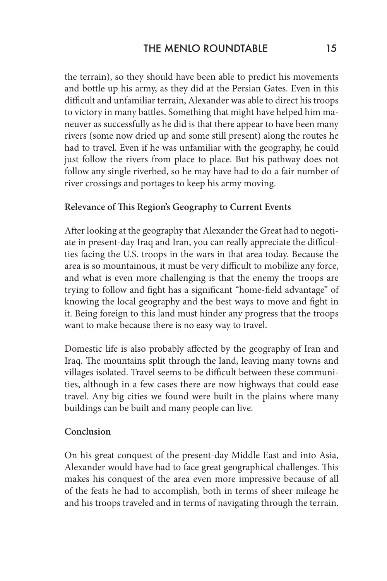the terrain), so they should have been able to predict his movements and bottle up his army, as they did at the Persian Gates. Even in this difficult and unfamiliar terrain, Alexander was able to direct his troops to victory in many battles. Something that might have helped him maneuver as successfully as he did is that there appear to have been many rivers (some now dried up and some still present) along the routes he had to travel. Even if he was unfamiliar with the geography, he could just follow the rivers from place to place. But his pathway does not follow any single riverbed, so he may have had to do a fair number of river crossings and portages to keep his army moving.

#### **Relevance of This Region's Geography to Current Events**

After looking at the geography that Alexander the Great had to negotiate in present-day Iraq and Iran, you can really appreciate the difficulties facing the U.S. troops in the wars in that area today. Because the area is so mountainous, it must be very difficult to mobilize any force, and what is even more challenging is that the enemy the troops are trying to follow and fight has a significant "home-field advantage" of knowing the local geography and the best ways to move and fight in it. Being foreign to this land must hinder any progress that the troops want to make because there is no easy way to travel.

Domestic life is also probably affected by the geography of Iran and Iraq. The mountains split through the land, leaving many towns and villages isolated. Travel seems to be difficult between these communities, although in a few cases there are now highways that could ease travel. Any big cities we found were built in the plains where many buildings can be built and many people can live.

#### **Conclusion**

On his great conquest of the present-day Middle East and into Asia, Alexander would have had to face great geographical challenges. This makes his conquest of the area even more impressive because of all of the feats he had to accomplish, both in terms of sheer mileage he and his troops traveled and in terms of navigating through the terrain.